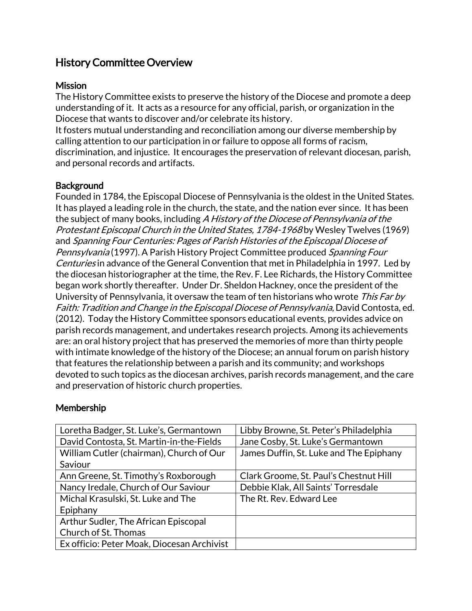# History Committee Overview

### **Mission**

The History Committee exists to preserve the history of the Diocese and promote a deep understanding of it. It acts as a resource for any official, parish, or organization in the Diocese that wants to discover and/or celebrate its history.

It fosters mutual understanding and reconciliation among our diverse membership by calling attention to our participation in or failure to oppose all forms of racism, discrimination, and injustice. It encourages the preservation of relevant diocesan, parish, and personal records and artifacts.

## **Background**

Founded in 1784, the Episcopal Diocese of Pennsylvania is the oldest in the United States. It has played a leading role in the church, the state, and the nation ever since. It has been the subject of many books, including A History of the Diocese of Pennsylvania of the Protestant Episcopal Church in the United States, 1784-1968 by Wesley Twelves (1969) and Spanning Four Centuries: Pages of Parish Histories of the Episcopal Diocese of Pennsylvania (1997). A Parish History Project Committee produced Spanning Four Centuries in advance of the General Convention that met in Philadelphia in 1997. Led by the diocesan historiographer at the time, the Rev. F. Lee Richards, the History Committee began work shortly thereafter. Under Dr. Sheldon Hackney, once the president of the University of Pennsylvania, it oversaw the team of ten historians who wrote This Far by Faith: Tradition and Change in the Episcopal Diocese of Pennsylvania, David Contosta, ed. (2012). Today the History Committee sponsors educational events, provides advice on parish records management, and undertakes research projects. Among its achievements are: an oral history project that has preserved the memories of more than thirty people with intimate knowledge of the history of the Diocese; an annual forum on parish history that features the relationship between a parish and its community; and workshops devoted to such topics as the diocesan archives, parish records management, and the care and preservation of historic church properties.

#### Membership

| Loretha Badger, St. Luke's, Germantown     | Libby Browne, St. Peter's Philadelphia  |
|--------------------------------------------|-----------------------------------------|
| David Contosta, St. Martin-in-the-Fields   | Jane Cosby, St. Luke's Germantown       |
| William Cutler (chairman), Church of Our   | James Duffin, St. Luke and The Epiphany |
| Saviour                                    |                                         |
| Ann Greene, St. Timothy's Roxborough       | Clark Groome, St. Paul's Chestnut Hill  |
| Nancy Iredale, Church of Our Saviour       | Debbie Klak, All Saints' Torresdale     |
| Michal Krasulski, St. Luke and The         | The Rt. Rev. Edward Lee                 |
| Epiphany                                   |                                         |
| Arthur Sudler, The African Episcopal       |                                         |
| Church of St. Thomas                       |                                         |
| Ex officio: Peter Moak, Diocesan Archivist |                                         |